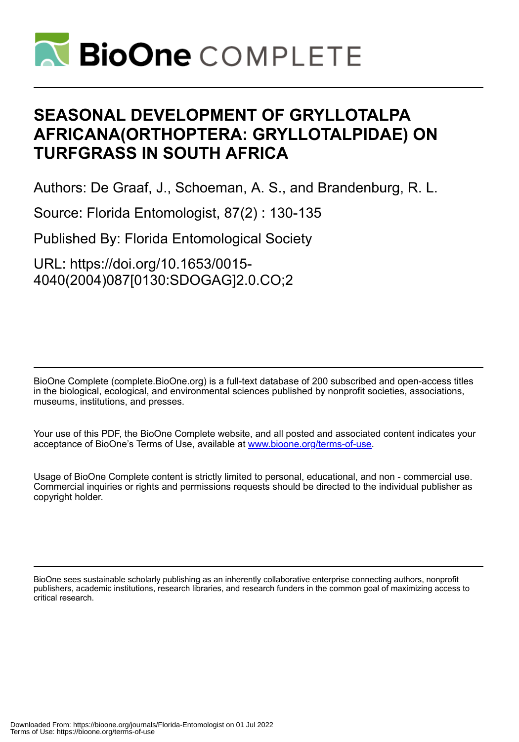

# **SEASONAL DEVELOPMENT OF GRYLLOTALPA AFRICANA(ORTHOPTERA: GRYLLOTALPIDAE) ON TURFGRASS IN SOUTH AFRICA**

Authors: De Graaf, J., Schoeman, A. S., and Brandenburg, R. L.

Source: Florida Entomologist, 87(2) : 130-135

Published By: Florida Entomological Society

URL: https://doi.org/10.1653/0015- 4040(2004)087[0130:SDOGAG]2.0.CO;2

BioOne Complete (complete.BioOne.org) is a full-text database of 200 subscribed and open-access titles in the biological, ecological, and environmental sciences published by nonprofit societies, associations, museums, institutions, and presses.

Your use of this PDF, the BioOne Complete website, and all posted and associated content indicates your acceptance of BioOne's Terms of Use, available at www.bioone.org/terms-of-use.

Usage of BioOne Complete content is strictly limited to personal, educational, and non - commercial use. Commercial inquiries or rights and permissions requests should be directed to the individual publisher as copyright holder.

BioOne sees sustainable scholarly publishing as an inherently collaborative enterprise connecting authors, nonprofit publishers, academic institutions, research libraries, and research funders in the common goal of maximizing access to critical research.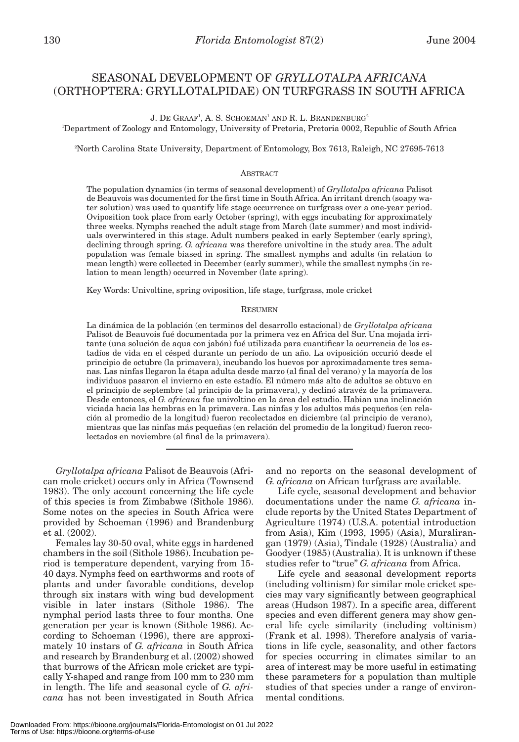# SEASONAL DEVELOPMENT OF *GRYLLOTALPA AFRICANA* (ORTHOPTERA: GRYLLOTALPIDAE) ON TURFGRASS IN SOUTH AFRICA

J. DE GRAAF<sup>1</sup>, A. S. SCHOEMAN<sup>1</sup> AND R. L. BRANDENBURG<sup>2</sup>

1 Department of Zoology and Entomology, University of Pretoria, Pretoria 0002, Republic of South Africa

2 North Carolina State University, Department of Entomology, Box 7613, Raleigh, NC 27695-7613

#### **ABSTRACT**

The population dynamics (in terms of seasonal development) of *Gryllotalpa africana* Palisot de Beauvois was documented for the first time in South Africa. An irritant drench (soapy water solution) was used to quantify life stage occurrence on turfgrass over a one-year period. Oviposition took place from early October (spring), with eggs incubating for approximately three weeks. Nymphs reached the adult stage from March (late summer) and most individuals overwintered in this stage. Adult numbers peaked in early September (early spring), declining through spring. *G. africana* was therefore univoltine in the study area. The adult population was female biased in spring. The smallest nymphs and adults (in relation to mean length) were collected in December (early summer), while the smallest nymphs (in relation to mean length) occurred in November (late spring).

Key Words: Univoltine, spring oviposition, life stage, turfgrass, mole cricket

#### **RESUMEN**

La dinámica de la población (en terminos del desarrollo estacional) de *Gryllotalpa africana* Palisot de Beauvois fué documentada por la primera vez en Africa del Sur. Una mojada irritante (una solución de aqua con jabón) fué utilizada para cuantificar la ocurrencia de los estadíos de vida en el césped durante un período de un año. La oviposición occurió desde el principio de octubre (la primavera), incubando los huevos por aproximadamente tres semanas. Las ninfas llegaron la étapa adulta desde marzo (al final del verano) y la mayoría de los individuos pasaron el invierno en este estadío. El número más alto de adultos se obtuvo en el principio de septembre (al principio de la primavera), y declinó atravéz de la primavera. Desde entonces, el *G. africana* fue univoltino en la área del estudio. Habian una inclinación viciada hacia las hembras en la primavera. Las ninfas y los adultos más pequeños (en relación al promedio de la longitud) fueron recolectados en diciembre (al principio de verano), mientras que las ninfas más pequeñas (en relación del promedio de la longitud) fueron recolectados en noviembre (al final de la primavera).

*Gryllotalpa africana* Palisot de Beauvois (African mole cricket) occurs only in Africa (Townsend 1983). The only account concerning the life cycle of this species is from Zimbabwe (Sithole 1986). Some notes on the species in South Africa were provided by Schoeman (1996) and Brandenburg et al. (2002).

Females lay 30-50 oval, white eggs in hardened chambers in the soil (Sithole 1986). Incubation period is temperature dependent, varying from 15- 40 days. Nymphs feed on earthworms and roots of plants and under favorable conditions, develop through six instars with wing bud development visible in later instars (Sithole 1986). The nymphal period lasts three to four months. One generation per year is known (Sithole 1986). According to Schoeman (1996), there are approximately 10 instars of *G. africana* in South Africa and research by Brandenburg et al. (2002) showed that burrows of the African mole cricket are typically Y-shaped and range from 100 mm to 230 mm in length. The life and seasonal cycle of *G. africana* has not been investigated in South Africa

and no reports on the seasonal development of *G. africana* on African turfgrass are available.

Life cycle, seasonal development and behavior documentations under the name *G. africana* include reports by the United States Department of Agriculture (1974) (U.S.A. potential introduction from Asia), Kim (1993, 1995) (Asia), Muralirangan (1979) (Asia), Tindale (1928) (Australia) and Goodyer (1985) (Australia). It is unknown if these studies refer to "true" *G. africana* from Africa.

Life cycle and seasonal development reports (including voltinism) for similar mole cricket species may vary significantly between geographical areas (Hudson 1987). In a specific area, different species and even different genera may show general life cycle similarity (including voltinism) (Frank et al. 1998). Therefore analysis of variations in life cycle, seasonality, and other factors for species occurring in climates similar to an area of interest may be more useful in estimating these parameters for a population than multiple studies of that species under a range of environmental conditions.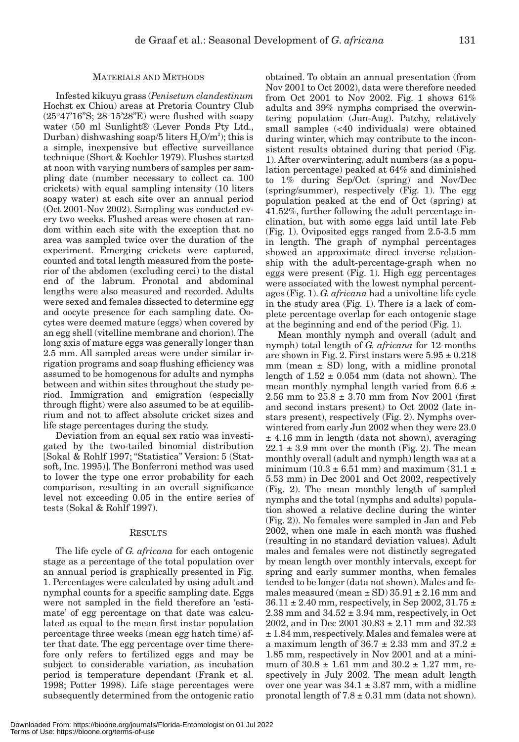# MATERIALS AND METHODS

Infested kikuyu grass (*Penisetum clandestinum* Hochst ex Chiou) areas at Pretoria Country Club (25°47'16"S; 28°15'28"E) were flushed with soapy water (50 ml Sunlight® (Lever Ponds Pty Ltd., Durban) dishwashing soap/5 liters  $\rm H_2O\!/m^2$ ); this is a simple, inexpensive but effective surveillance technique (Short & Koehler 1979). Flushes started at noon with varying numbers of samples per sampling date (number necessary to collect ca. 100 crickets) with equal sampling intensity (10 liters soapy water) at each site over an annual period (Oct 2001-Nov 2002). Sampling was conducted every two weeks. Flushed areas were chosen at random within each site with the exception that no area was sampled twice over the duration of the experiment. Emerging crickets were captured, counted and total length measured from the posterior of the abdomen (excluding cerci) to the distal end of the labrum. Pronotal and abdominal lengths were also measured and recorded. Adults were sexed and females dissected to determine egg and oocyte presence for each sampling date. Oocytes were deemed mature (eggs) when covered by an egg shell (vitelline membrane and chorion). The long axis of mature eggs was generally longer than 2.5 mm. All sampled areas were under similar irrigation programs and soap flushing efficiency was assumed to be homogenous for adults and nymphs between and within sites throughout the study period. Immigration and emigration (especially through flight) were also assumed to be at equilibrium and not to affect absolute cricket sizes and life stage percentages during the study.

Deviation from an equal sex ratio was investigated by the two-tailed binomial distribution [Sokal & Rohlf 1997; "Statistica" Version: 5 (Statsoft, Inc. 1995)]. The Bonferroni method was used to lower the type one error probability for each comparison, resulting in an overall significance level not exceeding 0.05 in the entire series of tests (Sokal & Rohlf 1997).

## **RESULTS**

The life cycle of *G. africana* for each ontogenic stage as a percentage of the total population over an annual period is graphically presented in Fig. 1. Percentages were calculated by using adult and nymphal counts for a specific sampling date. Eggs were not sampled in the field therefore an 'estimate' of egg percentage on that date was calculated as equal to the mean first instar population percentage three weeks (mean egg hatch time) after that date. The egg percentage over time therefore only refers to fertilized eggs and may be subject to considerable variation, as incubation period is temperature dependant (Frank et al. 1998; Potter 1998). Life stage percentages were subsequently determined from the ontogenic ratio

obtained. To obtain an annual presentation (from Nov 2001 to Oct 2002), data were therefore needed from Oct 2001 to Nov 2002. Fig. 1 shows 61% adults and 39% nymphs comprised the overwintering population (Jun-Aug). Patchy, relatively small samples (<40 individuals) were obtained during winter, which may contribute to the inconsistent results obtained during that period (Fig. 1). After overwintering, adult numbers (as a population percentage) peaked at 64% and diminished to 1% during Sep/Oct (spring) and Nov/Dec (spring/summer), respectively (Fig. 1). The egg population peaked at the end of Oct (spring) at 41.52%, further following the adult percentage inclination, but with some eggs laid until late Feb (Fig. 1). Oviposited eggs ranged from 2.5-3.5 mm in length. The graph of nymphal percentages showed an approximate direct inverse relationship with the adult-percentage-graph when no eggs were present (Fig. 1). High egg percentages were associated with the lowest nymphal percentages (Fig. 1). *G. africana* had a univoltine life cycle in the study area (Fig. 1). There is a lack of complete percentage overlap for each ontogenic stage at the beginning and end of the period (Fig. 1).

Mean monthly nymph and overall (adult and nymph) total length of *G. africana* for 12 months are shown in Fig. 2. First instars were  $5.95 \pm 0.218$ mm (mean  $\pm$  SD) long, with a midline pronotal length of  $1.52 \pm 0.054$  mm (data not shown). The mean monthly nymphal length varied from  $6.6 \pm$ 2.56 mm to  $25.8 \pm 3.70$  mm from Nov 2001 (first) and second instars present) to Oct 2002 (late instars present), respectively (Fig. 2). Nymphs overwintered from early Jun 2002 when they were 23.0  $\pm$  4.16 mm in length (data not shown), averaging  $22.1 \pm 3.9$  mm over the month (Fig. 2). The mean monthly overall (adult and nymph) length was at a minimum (10.3  $\pm$  6.51 mm) and maximum (31.1  $\pm$ 5.53 mm) in Dec 2001 and Oct 2002, respectively (Fig. 2). The mean monthly length of sampled nymphs and the total (nymphs and adults) population showed a relative decline during the winter (Fig. 2)). No females were sampled in Jan and Feb 2002, when one male in each month was flushed (resulting in no standard deviation values). Adult males and females were not distinctly segregated by mean length over monthly intervals, except for spring and early summer months, when females tended to be longer (data not shown). Males and females measured (mean  $\pm$  SD) 35.91  $\pm$  2.16 mm and  $36.11 \pm 2.40$  mm, respectively, in Sep 2002,  $31.75 \pm 1.75$ 2.38 mm and  $34.52 \pm 3.94$  mm, respectively, in Oct 2002, and in Dec 2001 30.83 ± 2.11 mm and 32.33 ± 1.84 mm, respectively. Males and females were at a maximum length of  $36.7 \pm 2.33$  mm and  $37.2 \pm$ 1.85 mm, respectively in Nov 2001 and at a minimum of  $30.8 \pm 1.61$  mm and  $30.2 \pm 1.27$  mm, respectively in July 2002. The mean adult length over one year was  $34.1 \pm 3.87$  mm, with a midline pronotal length of  $7.8 \pm 0.31$  mm (data not shown).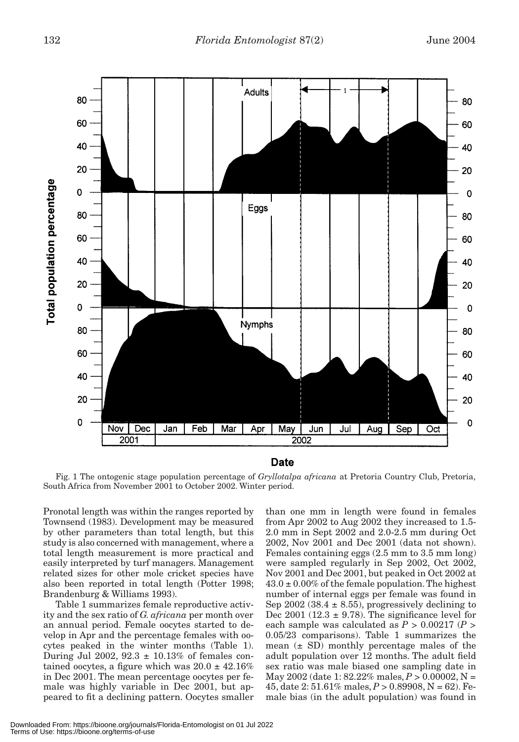

**Date** 

Fig. 1 The ontogenic stage population percentage of *Gryllotalpa africana* at Pretoria Country Club, Pretoria, South Africa from November 2001 to October 2002. Winter period.

Pronotal length was within the ranges reported by Townsend (1983). Development may be measured by other parameters than total length, but this study is also concerned with management, where a total length measurement is more practical and easily interpreted by turf managers. Management related sizes for other mole cricket species have also been reported in total length (Potter 1998; Brandenburg & Williams 1993).

Table 1 summarizes female reproductive activity and the sex ratio of *G. africana* per month over an annual period. Female oocytes started to develop in Apr and the percentage females with oocytes peaked in the winter months (Table 1). During Jul 2002,  $92.3 \pm 10.13\%$  of females contained oocytes, a figure which was  $20.0 \pm 42.16\%$ in Dec 2001. The mean percentage oocytes per female was highly variable in Dec 2001, but appeared to fit a declining pattern. Oocytes smaller

than one mm in length were found in females from Apr 2002 to Aug 2002 they increased to 1.5- 2.0 mm in Sept 2002 and 2.0-2.5 mm during Oct 2002, Nov 2001 and Dec 2001 (data not shown). Females containing eggs (2.5 mm to 3.5 mm long) were sampled regularly in Sep 2002, Oct 2002, Nov 2001 and Dec 2001, but peaked in Oct 2002 at  $43.0 \pm 0.00\%$  of the female population. The highest number of internal eggs per female was found in Sep 2002 (38.4  $\pm$  8.55), progressively declining to Dec 2001 (12.3  $\pm$  9.78). The significance level for each sample was calculated as  $P > 0.00217$  ( $P >$ 0.05/23 comparisons). Table 1 summarizes the mean  $(\pm SD)$  monthly percentage males of the adult population over 12 months. The adult field sex ratio was male biased one sampling date in May 2002 (date 1: 82.22% males, *P* > 0.00002, N = 45, date 2: 51.61% males, *P* > 0.89908, N = 62). Female bias (in the adult population) was found in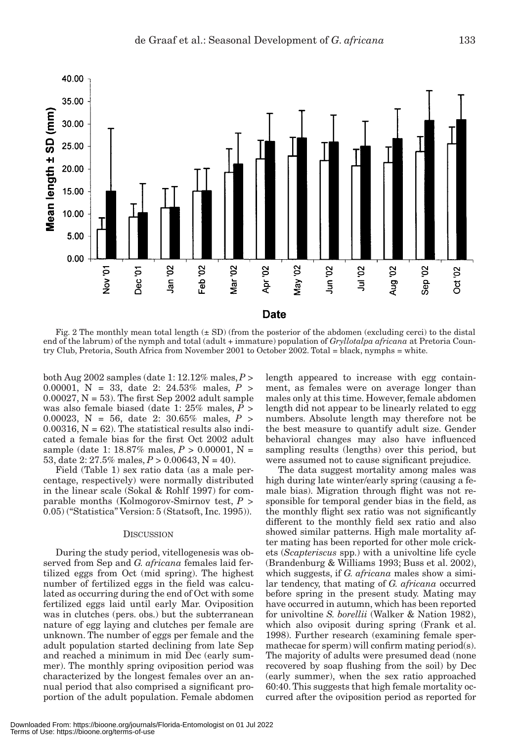

Fig. 2 The monthly mean total length  $(\pm SD)$  (from the posterior of the abdomen (excluding cerci) to the distal end of the labrum) of the nymph and total (adult + immature) population of *Gryllotalpa africana* at Pretoria Country Club, Pretoria, South Africa from November 2001 to October 2002. Total = black, nymphs = white.

both Aug 2002 samples (date 1: 12.12% males, *P* > 0.00001, N = 33, date 2: 24.53% males, *P* >  $0.00027$ , N = 53). The first Sep 2002 adult sample was also female biased (date 1: 25% males, *P* > 0.00023, N = 56, date 2: 30.65% males, *P* >  $0.00316$ ,  $N = 62$ ). The statistical results also indicated a female bias for the first Oct 2002 adult sample (date 1: 18.87% males, *P* > 0.00001, N = 53, date 2:  $27.5\%$  males,  $P > 0.00643$ , N = 40).

Field (Table 1) sex ratio data (as a male percentage, respectively) were normally distributed in the linear scale (Sokal & Rohlf 1997) for comparable months (Kolmogorov-Smirnov test, *P* > 0.05) ("Statistica" Version: 5 (Statsoft, Inc. 1995)).

### **DISCUSSION**

During the study period, vitellogenesis was observed from Sep and *G. africana* females laid fertilized eggs from Oct (mid spring). The highest number of fertilized eggs in the field was calculated as occurring during the end of Oct with some fertilized eggs laid until early Mar. Oviposition was in clutches (pers. obs.) but the subterranean nature of egg laying and clutches per female are unknown. The number of eggs per female and the adult population started declining from late Sep and reached a minimum in mid Dec (early summer). The monthly spring oviposition period was characterized by the longest females over an annual period that also comprised a significant proportion of the adult population. Female abdomen length appeared to increase with egg containment, as females were on average longer than males only at this time. However, female abdomen length did not appear to be linearly related to egg numbers. Absolute length may therefore not be the best measure to quantify adult size. Gender behavioral changes may also have influenced sampling results (lengths) over this period, but were assumed not to cause significant prejudice.

The data suggest mortality among males was high during late winter/early spring (causing a female bias). Migration through flight was not responsible for temporal gender bias in the field, as the monthly flight sex ratio was not significantly different to the monthly field sex ratio and also showed similar patterns. High male mortality after mating has been reported for other mole crickets (*Scapteriscus* spp.) with a univoltine life cycle (Brandenburg & Williams 1993; Buss et al. 2002), which suggests, if *G. africana* males show a similar tendency, that mating of *G. africana* occurred before spring in the present study. Mating may have occurred in autumn, which has been reported for univoltine *S. borellii* (Walker & Nation 1982), which also oviposit during spring (Frank et al. 1998). Further research (examining female spermathecae for sperm) will confirm mating period(s). The majority of adults were presumed dead (none recovered by soap flushing from the soil) by Dec (early summer), when the sex ratio approached 60:40. This suggests that high female mortality occurred after the oviposition period as reported for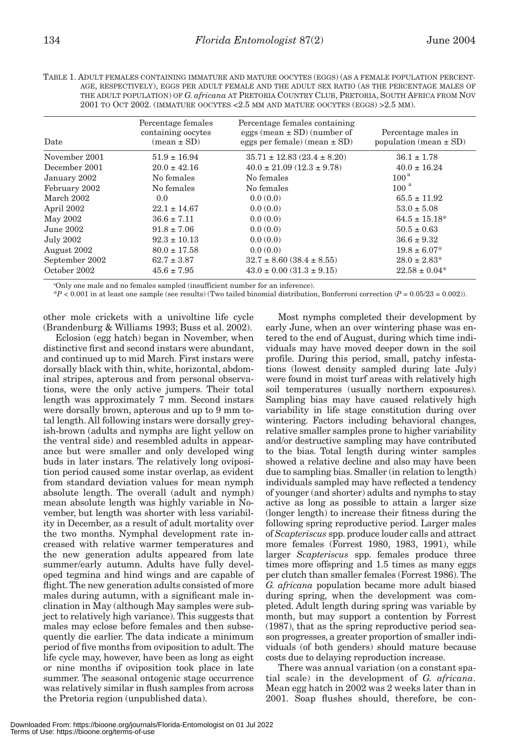TABLE 1. ADULT FEMALES CONTAINING IMMATURE AND MATURE OOCYTES (EGGS) (AS A FEMALE POPULATION PERCENT-

| AGE, RESPECTIVELY), EGGS PER ADULT FEMALE AND THE ADULT SEX RATIO (AS THE PERCENTAGE MALES OF<br>THE ADULT POPULATION) OF G. africana AT PRETORIA COUNTRY CLUB, PRETORIA, SOUTH AFRICA FROM NOV<br>2001 TO OCT 2002. (IMMATURE OOCYTES <2.5 MM AND MATURE OOCYTES (EGGS) >2.5 MM). |                                                           |                                                                                                      |                                                   |  |  |
|------------------------------------------------------------------------------------------------------------------------------------------------------------------------------------------------------------------------------------------------------------------------------------|-----------------------------------------------------------|------------------------------------------------------------------------------------------------------|---------------------------------------------------|--|--|
| Date                                                                                                                                                                                                                                                                               | Percentage females<br>containing oocytes<br>$mean \pm SD$ | Percentage females containing<br>eggs (mean $\pm$ SD) (number of<br>eggs per female) (mean $\pm$ SD) | Percentage males in<br>population (mean $\pm$ SD) |  |  |
| November 2001                                                                                                                                                                                                                                                                      | $51.9 \pm 16.94$                                          | $35.71 \pm 12.83 (23.4 \pm 8.20)$                                                                    | $36.1 \pm 1.78$                                   |  |  |
| December 2001                                                                                                                                                                                                                                                                      | $20.0 \pm 42.16$                                          | $40.0 \pm 21.09$ (12.3 $\pm$ 9.78)                                                                   | $40.0 \pm 16.24$                                  |  |  |
| January 2002                                                                                                                                                                                                                                                                       | No females                                                | No females                                                                                           | 100 <sup>4</sup>                                  |  |  |
| February 2002                                                                                                                                                                                                                                                                      | No females                                                | No females                                                                                           | 100 <sup>a</sup>                                  |  |  |
| March 2002                                                                                                                                                                                                                                                                         | $0.0^{\circ}$                                             | 0.0(0.0)                                                                                             | $65.5 \pm 11.92$                                  |  |  |
| April 2002                                                                                                                                                                                                                                                                         | $22.1 \pm 14.67$                                          | 0.0(0.0)                                                                                             | $53.0 \pm 5.08$                                   |  |  |
| May 2002                                                                                                                                                                                                                                                                           | $36.6 \pm 7.11$                                           | 0.0(0.0)                                                                                             | $64.5 \pm 15.18^*$                                |  |  |
| June 2002                                                                                                                                                                                                                                                                          | $91.8 \pm 7.06$                                           | 0.0(0.0)                                                                                             | $50.5 \pm 0.63$                                   |  |  |
| July 2002                                                                                                                                                                                                                                                                          | $92.3 \pm 10.13$                                          | 0.0(0.0)                                                                                             | $36.6 \pm 9.32$                                   |  |  |
| August 2002                                                                                                                                                                                                                                                                        | $80.0 \pm 17.58$                                          | 0.0(0.0)                                                                                             | $19.8 \pm 6.07*$                                  |  |  |

a Only one male and no females sampled (insufficient number for an inference).

\**P* < 0.001 in at least one sample (see results) (Two tailed binomial distribution, Bonferroni correction (*P* = 0.05/23 = 0.002)).

September 2002 62.7  $\pm 3.87$  32.7  $\pm 8.60$  (38.4  $\pm 8.55$ ) 28.0  $\pm 2.83^*$ October 2002 45.6  $\pm$  7.95 43.0  $\pm$  0.00 (31.3  $\pm$  9.15) 22.58  $\pm$  0.04\*

other mole crickets with a univoltine life cycle (Brandenburg & Williams 1993; Buss et al. 2002).

Eclosion (egg hatch) began in November, when distinctive first and second instars were abundant, and continued up to mid March. First instars were dorsally black with thin, white, horizontal, abdominal stripes, apterous and from personal observations, were the only active jumpers. Their total length was approximately 7 mm. Second instars were dorsally brown, apterous and up to 9 mm total length. All following instars were dorsally greyish-brown (adults and nymphs are light yellow on the ventral side) and resembled adults in appearance but were smaller and only developed wing buds in later instars. The relatively long oviposition period caused some instar overlap, as evident from standard deviation values for mean nymph absolute length. The overall (adult and nymph) mean absolute length was highly variable in November, but length was shorter with less variability in December, as a result of adult mortality over the two months. Nymphal development rate increased with relative warmer temperatures and the new generation adults appeared from late summer/early autumn. Adults have fully developed tegmina and hind wings and are capable of flight. The new generation adults consisted of more males during autumn, with a significant male inclination in May (although May samples were subject to relatively high variance). This suggests that males may eclose before females and then subsequently die earlier. The data indicate a minimum period of five months from oviposition to adult. The life cycle may, however, have been as long as eight or nine months if oviposition took place in late summer. The seasonal ontogenic stage occurrence was relatively similar in flush samples from across the Pretoria region (unpublished data).

Most nymphs completed their development by early June, when an over wintering phase was entered to the end of August, during which time individuals may have moved deeper down in the soil profile. During this period, small, patchy infestations (lowest density sampled during late July) were found in moist turf areas with relatively high soil temperatures (usually northern exposures). Sampling bias may have caused relatively high variability in life stage constitution during over wintering. Factors including behavioral changes, relative smaller samples prone to higher variability and/or destructive sampling may have contributed to the bias. Total length during winter samples showed a relative decline and also may have been due to sampling bias. Smaller (in relation to length) individuals sampled may have reflected a tendency of younger (and shorter) adults and nymphs to stay active as long as possible to attain a larger size (longer length) to increase their fitness during the following spring reproductive period. Larger males of *Scapteriscus* spp. produce louder calls and attract more females (Forrest 1980, 1983, 1991), while larger *Scapteriscus* spp. females produce three times more offspring and 1.5 times as many eggs per clutch than smaller females (Forrest 1986). The *G. africana* population became more adult biased during spring, when the development was completed. Adult length during spring was variable by month, but may support a contention by Forrest (1987), that as the spring reproductive period season progresses, a greater proportion of smaller individuals (of both genders) should mature because costs due to delaying reproduction increase.

There was annual variation (on a constant spatial scale) in the development of *G. africana*. Mean egg hatch in 2002 was 2 weeks later than in 2001. Soap flushes should, therefore, be con